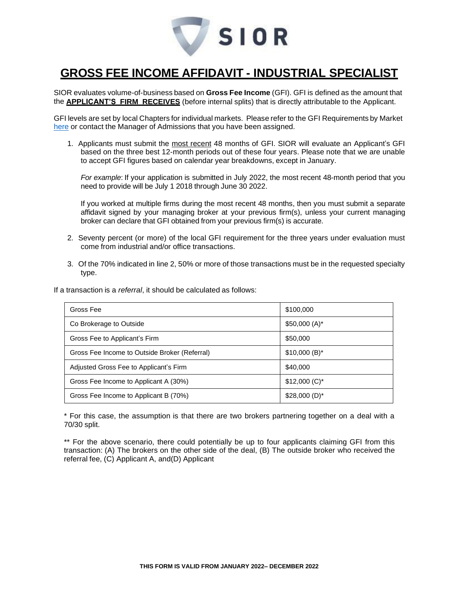

### **GROSS FEE INCOME AFFIDAVIT - INDUSTRIAL SPECIALIST**

SIOR evaluates volume-of-business based on **Gross Fee Income** (GFI). GFI is defined as the amount that the **APPLICANT'S FIRM RECEIVES** (before internal splits) that is directly attributable to the Applicant.

GFI levels are set by local Chapters for individual markets. Please refer to the GFI Requirements by Market [here](http://www.sior.com/docs/default-source/membership-docs/sior-gfi-requirements.pdf) or contact the Manager of Admissions that you have been assigned.

1. Applicants must submit the most recent 48 months of GFI. SIOR will evaluate an Applicant's GFI based on the three best 12-month periods out of these four years. Please note that we are unable to accept GFI figures based on calendar year breakdowns, except in January.

*For example*: If your application is submitted in July 2022, the most recent 48-month period that you need to provide will be July 1 2018 through June 30 2022.

If you worked at multiple firms during the most recent 48 months, then you must submit a separate affidavit signed by your managing broker at your previous firm(s), unless your current managing broker can declare that GFI obtained from your previous firm(s) is accurate.

- 2. Seventy percent (or more) of the local GFI requirement for the three years under evaluation must come from industrial and/or office transactions.
- 3. Of the 70% indicated in line 2, 50% or more of those transactions must be in the requested specialty type.

If a transaction is a *referral*, it should be calculated as follows:

| Gross Fee                                     | \$100,000       |
|-----------------------------------------------|-----------------|
| Co Brokerage to Outside                       | $$50,000(A)^*$  |
| Gross Fee to Applicant's Firm                 | \$50,000        |
| Gross Fee Income to Outside Broker (Referral) | $$10,000(B)^*$  |
| Adjusted Gross Fee to Applicant's Firm        | \$40,000        |
| Gross Fee Income to Applicant A (30%)         | $$12,000 (C)^*$ |
| Gross Fee Income to Applicant B (70%)         | $$28,000(D)^*$  |

\* For this case, the assumption is that there are two brokers partnering together on a deal with a 70/30 split.

\*\* For the above scenario, there could potentially be up to four applicants claiming GFI from this transaction: (A) The brokers on the other side of the deal, (B) The outside broker who received the referral fee, (C) Applicant A, and(D) Applicant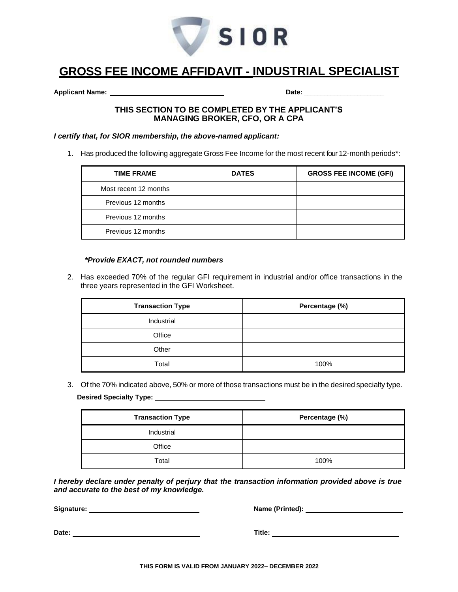

# **GROSS FEE INCOME AFFIDAVIT - INDUSTRIAL SPECIALIST**

**Applicant Name: Date: \_\_\_\_\_\_\_\_\_\_\_\_\_\_\_\_\_\_\_\_\_\_\_\_**

### **THIS SECTION TO BE COMPLETED BY THE APPLICANT'S MANAGING BROKER, CFO, OR A CPA**

#### *I certify that, for SIOR membership, the above-named applicant:*

1. Has produced the following aggregate Gross Fee Income for the most recent four 12-month periods\*:

| <b>TIME FRAME</b>     | <b>DATES</b> | <b>GROSS FEE INCOME (GFI)</b> |
|-----------------------|--------------|-------------------------------|
| Most recent 12 months |              |                               |
| Previous 12 months    |              |                               |
| Previous 12 months    |              |                               |
| Previous 12 months    |              |                               |

#### *\*Provide EXACT, not rounded numbers*

2. Has exceeded 70% of the regular GFI requirement in industrial and/or office transactions in the three years represented in the GFI Worksheet.

| <b>Transaction Type</b> | Percentage (%) |
|-------------------------|----------------|
| Industrial              |                |
| Office                  |                |
| Other                   |                |
| Total                   | 100%           |

3. Of the 70% indicated above, 50% or more of those transactions must be in the desired specialty type. **Desired Specialty Type:** 

| <b>Transaction Type</b> | Percentage (%) |
|-------------------------|----------------|
| Industrial              |                |
| Office                  |                |
| Total                   | 100%           |

*I hereby declare under penalty of perjury that the transaction information provided above is true and accurate to the best of my knowledge.*

**Signature: Name (Printed):** 

**Date: Title:**